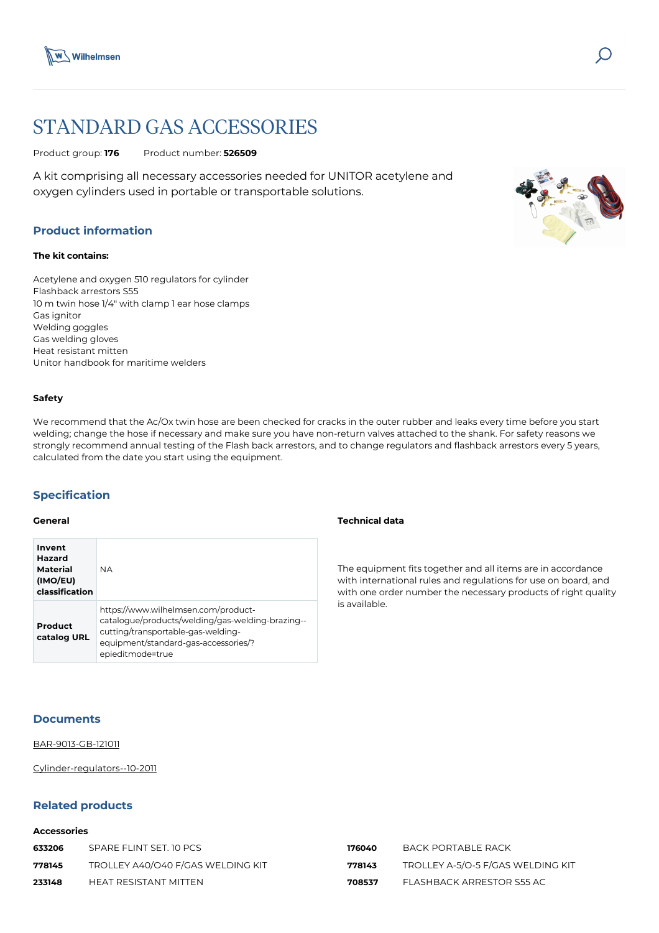

# STANDARD GAS ACCESSORIES

Product group: **176** Product number: **526509**

A kit comprising all necessary accessories needed for UNITOR acetylene and oxygen cylinders used in portable or transportable solutions.

## **Product information**

#### **The kit contains:**

Acetylene and oxygen 510 regulators for cylinder Flashback arrestors S55 10 m twin hose 1/4" with clamp 1 ear hose clamps Gas ignitor Welding goggles Gas welding gloves Heat resistant mitten Unitor handbook for maritime welders

#### **Safety**

We recommend that the Ac/Ox twin hose are been checked for cracks in the outer rubber and leaks every time before you start welding; change the hose if necessary and make sure you have non-return valves attached to the shank. For safety reasons we strongly recommend annual testing of the Flash back arrestors, and to change regulators and flashback arrestors every 5 years, calculated from the date you start using the equipment.

# **Specification**

### **General**

| Invent<br>Hazard<br>Material<br>(IMO/EU)<br>classification | <b>NA</b>                                                                                                                                                                                 |
|------------------------------------------------------------|-------------------------------------------------------------------------------------------------------------------------------------------------------------------------------------------|
| Product<br>catalog URL                                     | https://www.wilhelmsen.com/product-<br>catalogue/products/welding/gas-welding-brazing--<br>cutting/transportable-gas-welding-<br>equipment/standard-gas-accessories/?<br>epieditmode=true |

### **Technical data**

The equipment fits together and all items are in accordance with international rules and regulations for use on board, and with one order number the necessary products of right quality is available.

## **Documents**

[BAR-9013-GB-121011](https://media.bluestonepim.com/e4deb258-8122-4fdf-9d12-b42f3e0e812d/74fa9b31-5f2e-4319-b79a-533c9342a519/6HagoLlBZylefDwWZRq7r609O/9NOdxH85cQACcRlXtjvW1Y6Wy.pdf)

[Cylinder-regulators--10-2011](https://media.bluestonepim.com/e4deb258-8122-4fdf-9d12-b42f3e0e812d/6b427509-cfe6-4311-ad1a-aa5652ff3d41/veZC2MiqU2tvx5RqlHCBtAAug/QWbPVpCsASUNMsEmEsU1cyOzD.pdf)

## **Related products**

## **Accessories**

| 633206 | SPARE FLINT SET. 10 PCS           | 176040 | - RACK PORTABLE RACK              |
|--------|-----------------------------------|--------|-----------------------------------|
| 778145 | TROLLEY A40/O40 F/GAS WELDING KIT | 778143 | TROLLEY A-5/O-5 F/GAS WELDING KIT |
| 233148 | HEAT RESISTANT MITTEN             | 708537 | FLASHBACK ARRESTOR S55 AC         |